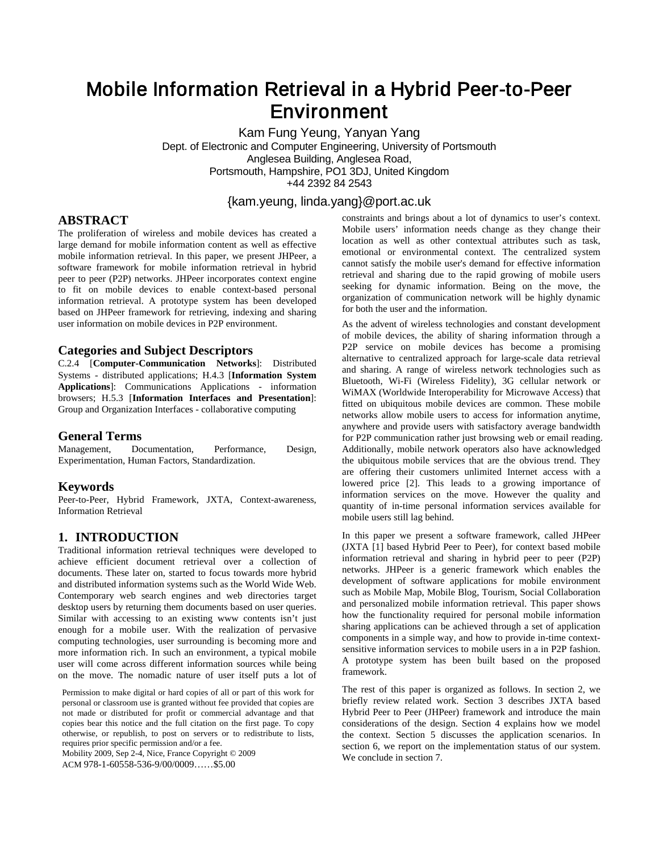# Mobile Information Retrieval in a Hybrid Peer-to-Peer Environment

Kam Fung Yeung, Yanyan Yang Dept. of Electronic and Computer Engineering, University of Portsmouth Anglesea Building, Anglesea Road, Portsmouth, Hampshire, PO1 3DJ, United Kingdom +44 2392 84 2543

# {kam.yeung, linda.yang}@port.ac.uk

## **ABSTRACT**

The proliferation of wireless and mobile devices has created a large demand for mobile information content as well as effective mobile information retrieval. In this paper, we present JHPeer, a software framework for mobile information retrieval in hybrid peer to peer (P2P) networks. JHPeer incorporates context engine to fit on mobile devices to enable context-based personal information retrieval. A prototype system has been developed based on JHPeer framework for retrieving, indexing and sharing user information on mobile devices in P2P environment.

#### **Categories and Subject Descriptors**

C.2.4 [**Computer-Communication Networks**]: Distributed Systems - distributed applications; H.4.3 [**Information System Applications**]: Communications Applications - information browsers; H.5.3 [**Information Interfaces and Presentation**]: Group and Organization Interfaces - collaborative computing

# **General Terms**

Documentation, Performance, Design, Experimentation, Human Factors, Standardization.

#### **Keywords**

Peer-to-Peer, Hybrid Framework, JXTA, Context-awareness, Information Retrieval

## **1. INTRODUCTION**

Traditional information retrieval techniques were developed to achieve efficient document retrieval over a collection of documents. These later on, started to focus towards more hybrid and distributed information systems such as the World Wide Web. Contemporary web search engines and web directories target desktop users by returning them documents based on user queries. Similar with accessing to an existing www contents isn't just enough for a mobile user. With the realization of pervasive computing technologies, user surrounding is becoming more and more information rich. In such an environment, a typical mobile user will come across different information sources while being on the move. The nomadic nature of user itself puts a lot of

Permission to make digital or hard copies of all or part of this work for personal or classroom use is granted without fee provided that copies are not made or distributed for profit or commercial advantage and that copies bear this notice and the full citation on the first page. To copy otherwise, or republish, to post on servers or to redistribute to lists, requires prior specific permission and/or a fee.

Mobility 2009, Sep 2-4, Nice, France Copyright © 2009 ACM 978-1-60558-536-9/00/0009……\$5.00

constraints and brings about a lot of dynamics to user's context. Mobile users' information needs change as they change their location as well as other contextual attributes such as task, emotional or environmental context. The centralized system cannot satisfy the mobile user's demand for effective information retrieval and sharing due to the rapid growing of mobile users seeking for dynamic information. Being on the move, the organization of communication network will be highly dynamic for both the user and the information.

As the advent of wireless technologies and constant development of mobile devices, the ability of sharing information through a P2P service on mobile devices has become a promising alternative to centralized approach for large-scale data retrieval and sharing. A range of wireless network technologies such as Bluetooth, Wi-Fi (Wireless Fidelity), 3G cellular network or WiMAX (Worldwide Interoperability for Microwave Access) that fitted on ubiquitous mobile devices are common. These mobile networks allow mobile users to access for information anytime, anywhere and provide users with satisfactory average bandwidth for P2P communication rather just browsing web or email reading. Additionally, mobile network operators also have acknowledged the ubiquitous mobile services that are the obvious trend. They are offering their customers unlimited Internet access with a lowered price [2]. This leads to a growing importance of information services on the move. However the quality and quantity of in-time personal information services available for mobile users still lag behind.

In this paper we present a software framework, called JHPeer (JXTA [1] based Hybrid Peer to Peer), for context based mobile information retrieval and sharing in hybrid peer to peer (P2P) networks. JHPeer is a generic framework which enables the development of software applications for mobile environment such as Mobile Map, Mobile Blog, Tourism, Social Collaboration and personalized mobile information retrieval. This paper shows how the functionality required for personal mobile information sharing applications can be achieved through a set of application components in a simple way, and how to provide in-time contextsensitive information services to mobile users in a in P2P fashion. A prototype system has been built based on the proposed framework.

The rest of this paper is organized as follows. In section 2, we briefly review related work. Section 3 describes JXTA based Hybrid Peer to Peer (JHPeer) framework and introduce the main considerations of the design. Section 4 explains how we model the context. Section 5 discusses the application scenarios. In section 6, we report on the implementation status of our system. We conclude in section 7.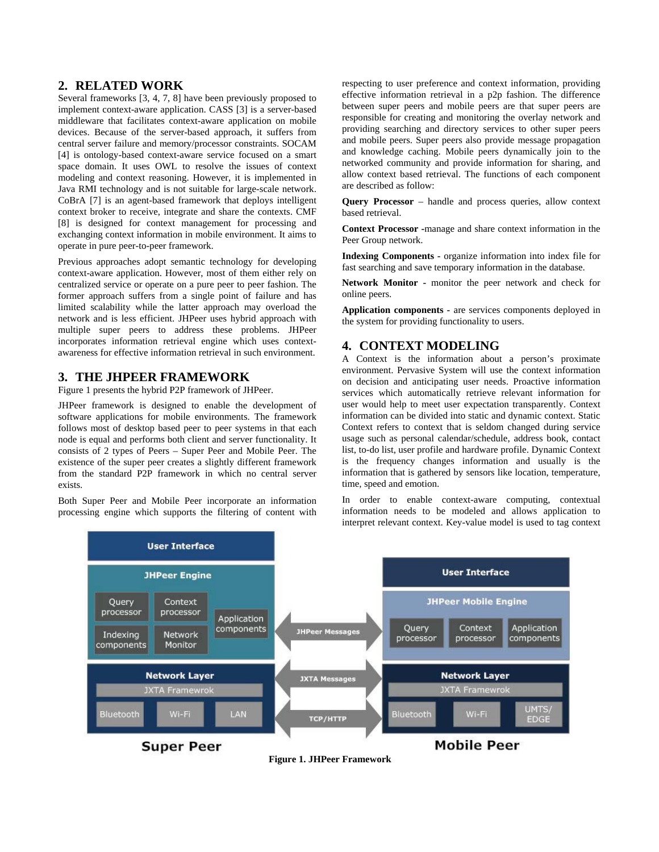## **2. RELATED WORK**

Several frameworks [3, 4, 7, 8] have been previously proposed to implement context-aware application. CASS [3] is a server-based middleware that facilitates context-aware application on mobile devices. Because of the server-based approach, it suffers from central server failure and memory/processor constraints. SOCAM [4] is ontology-based context-aware service focused on a smart space domain. It uses OWL to resolve the issues of context modeling and context reasoning. However, it is implemented in Java RMI technology and is not suitable for large-scale network. CoBrA [7] is an agent-based framework that deploys intelligent context broker to receive, integrate and share the contexts. CMF [8] is designed for context management for processing and exchanging context information in mobile environment. It aims to operate in pure peer-to-peer framework.

Previous approaches adopt semantic technology for developing context-aware application. However, most of them either rely on centralized service or operate on a pure peer to peer fashion. The former approach suffers from a single point of failure and has limited scalability while the latter approach may overload the network and is less efficient. JHPeer uses hybrid approach with multiple super peers to address these problems. JHPeer incorporates information retrieval engine which uses contextawareness for effective information retrieval in such environment.

### **3. THE JHPEER FRAMEWORK**

Figure 1 presents the hybrid P2P framework of JHPeer.

JHPeer framework is designed to enable the development of software applications for mobile environments. The framework follows most of desktop based peer to peer systems in that each node is equal and performs both client and server functionality. It consists of 2 types of Peers – Super Peer and Mobile Peer. The existence of the super peer creates a slightly different framework from the standard P2P framework in which no central server exists.

Both Super Peer and Mobile Peer incorporate an information processing engine which supports the filtering of content with

respecting to user preference and context information, providing effective information retrieval in a p2p fashion. The difference between super peers and mobile peers are that super peers are responsible for creating and monitoring the overlay network and providing searching and directory services to other super peers and mobile peers. Super peers also provide message propagation and knowledge caching. Mobile peers dynamically join to the networked community and provide information for sharing, and allow context based retrieval. The functions of each component are described as follow:

**Query Processor** – handle and process queries, allow context based retrieval.

**Context Processor -**manage and share context information in the Peer Group network.

**Indexing Components -** organize information into index file for fast searching and save temporary information in the database.

**Network Monitor -** monitor the peer network and check for online peers.

**Application components -** are services components deployed in the system for providing functionality to users.

# **4. CONTEXT MODELING**

A Context is the information about a person's proximate environment. Pervasive System will use the context information on decision and anticipating user needs. Proactive information services which automatically retrieve relevant information for user would help to meet user expectation transparently. Context information can be divided into static and dynamic context. Static Context refers to context that is seldom changed during service usage such as personal calendar/schedule, address book, contact list, to-do list, user profile and hardware profile. Dynamic Context is the frequency changes information and usually is the information that is gathered by sensors like location, temperature, time, speed and emotion.

In order to enable context-aware computing, contextual information needs to be modeled and allows application to interpret relevant context. Key-value model is used to tag context



**Figure 1. JHPeer Framework**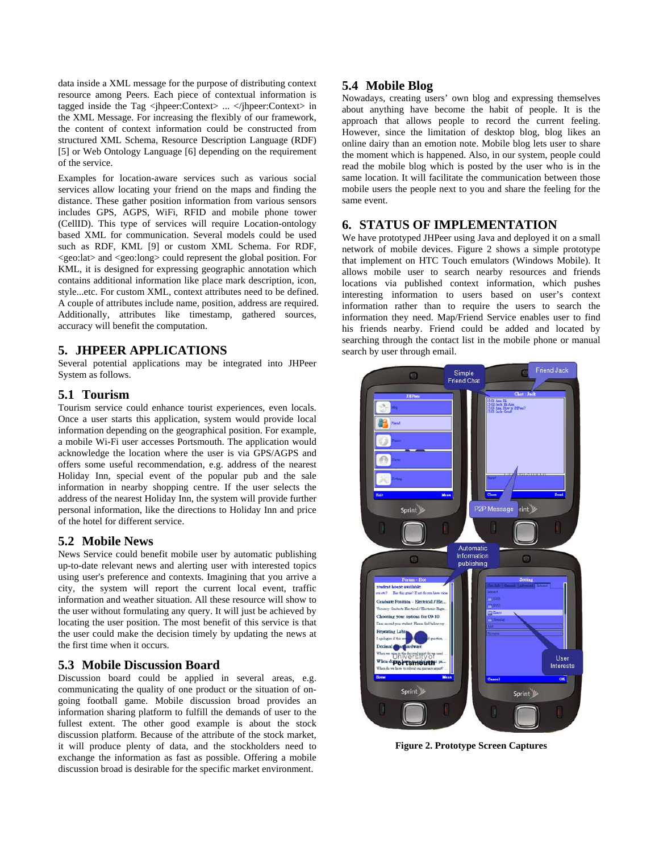data inside a XML message for the purpose of distributing context resource among Peers. Each piece of contextual information is tagged inside the Tag <jhpeer:Context> ... </jhpeer:Context> in the XML Message. For increasing the flexibly of our framework, the content of context information could be constructed from structured XML Schema, Resource Description Language (RDF) [5] or Web Ontology Language [6] depending on the requirement of the service.

Examples for location-aware services such as various social services allow locating your friend on the maps and finding the distance. These gather position information from various sensors includes GPS, AGPS, WiFi, RFID and mobile phone tower (CellID). This type of services will require Location-ontology based XML for communication. Several models could be used such as RDF, KML [9] or custom XML Schema. For RDF, <geo:lat> and <geo:long> could represent the global position. For KML, it is designed for expressing geographic annotation which contains additional information like place mark description, icon, style...etc. For custom XML, context attributes need to be defined. A couple of attributes include name, position, address are required. Additionally, attributes like timestamp, gathered sources, accuracy will benefit the computation.

## **5. JHPEER APPLICATIONS**

Several potential applications may be integrated into JHPeer System as follows.

#### **5.1 Tourism**

Tourism service could enhance tourist experiences, even locals. Once a user starts this application, system would provide local information depending on the geographical position. For example, a mobile Wi-Fi user accesses Portsmouth. The application would acknowledge the location where the user is via GPS/AGPS and offers some useful recommendation, e.g. address of the nearest Holiday Inn, special event of the popular pub and the sale information in nearby shopping centre. If the user selects the address of the nearest Holiday Inn, the system will provide further personal information, like the directions to Holiday Inn and price of the hotel for different service.

### **5.2 Mobile News**

News Service could benefit mobile user by automatic publishing up-to-date relevant news and alerting user with interested topics using user's preference and contexts. Imagining that you arrive a city, the system will report the current local event, traffic information and weather situation. All these resource will show to the user without formulating any query. It will just be achieved by locating the user position. The most benefit of this service is that the user could make the decision timely by updating the news at the first time when it occurs.

### **5.3 Mobile Discussion Board**

Discussion board could be applied in several areas, e.g. communicating the quality of one product or the situation of ongoing football game. Mobile discussion broad provides an information sharing platform to fulfill the demands of user to the fullest extent. The other good example is about the stock discussion platform. Because of the attribute of the stock market, it will produce plenty of data, and the stockholders need to exchange the information as fast as possible. Offering a mobile discussion broad is desirable for the specific market environment.

### **5.4 Mobile Blog**

Nowadays, creating users' own blog and expressing themselves about anything have become the habit of people. It is the approach that allows people to record the current feeling. However, since the limitation of desktop blog, blog likes an online dairy than an emotion note. Mobile blog lets user to share the moment which is happened. Also, in our system, people could read the mobile blog which is posted by the user who is in the same location. It will facilitate the communication between those mobile users the people next to you and share the feeling for the same event.

# **6. STATUS OF IMPLEMENTATION**

We have prototyped JHPeer using Java and deployed it on a small network of mobile devices. Figure 2 shows a simple prototype that implement on HTC Touch emulators (Windows Mobile). It allows mobile user to search nearby resources and friends locations via published context information, which pushes interesting information to users based on user's context information rather than to require the users to search the information they need. Map/Friend Service enables user to find his friends nearby. Friend could be added and located by searching through the contact list in the mobile phone or manual search by user through email.



**Figure 2. Prototype Screen Captures**